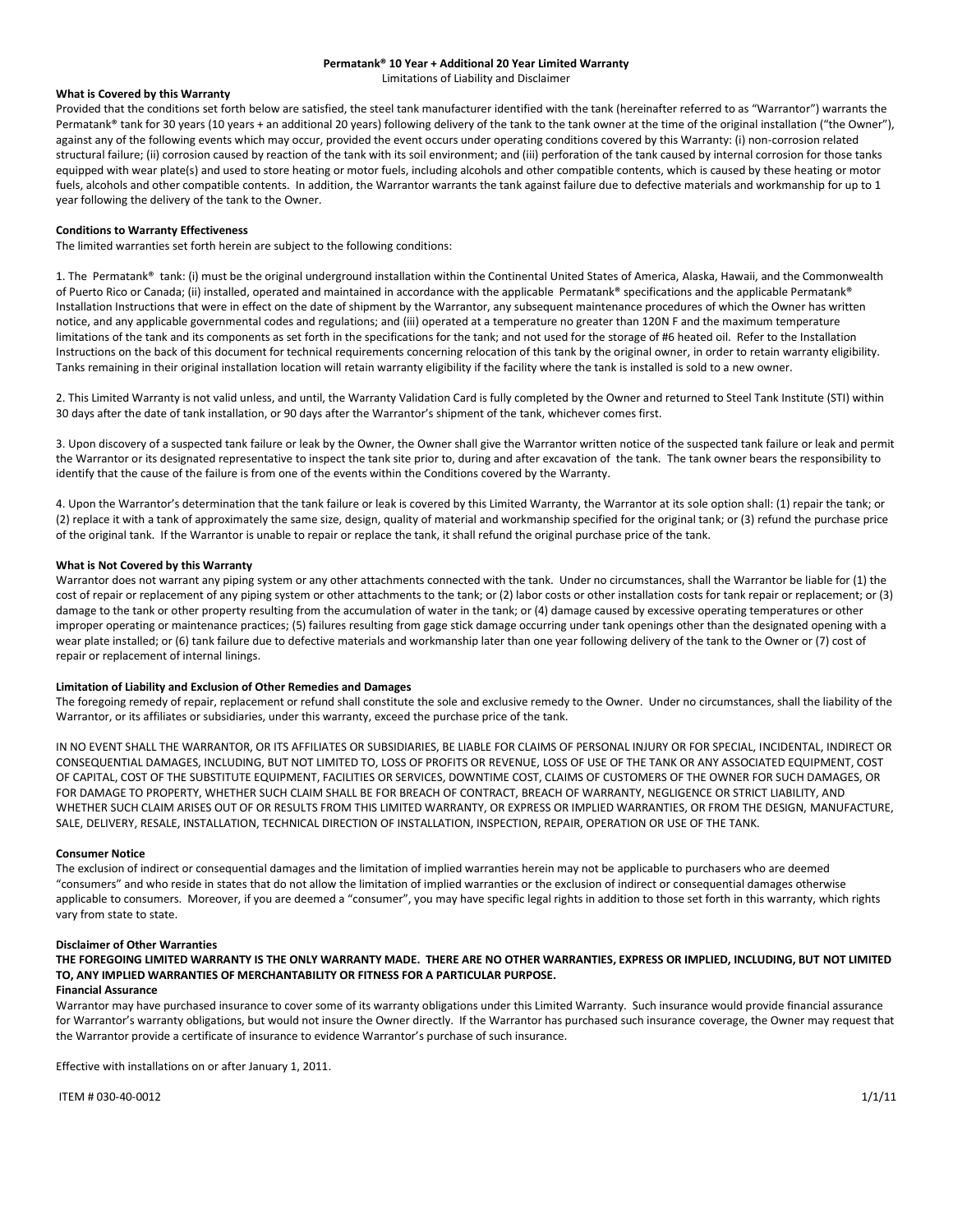#### **Permatank® 10 Year + Additional 20 Year Limited Warranty**

Limitations of Liability and Disclaimer

## **What is Covered by this Warranty**

Provided that the conditions set forth below are satisfied, the steel tank manufacturer identified with the tank (hereinafter referred to as "Warrantor") warrants the Permatank® tank for 30 years (10 years + an additional 20 years) following delivery of the tank to the tank owner at the time of the original installation ("the Owner"), against any of the following events which may occur, provided the event occurs under operating conditions covered by this Warranty: (i) non-corrosion related structural failure; (ii) corrosion caused by reaction of the tank with its soil environment; and (iii) perforation of the tank caused by internal corrosion for those tanks equipped with wear plate(s) and used to store heating or motor fuels, including alcohols and other compatible contents, which is caused by these heating or motor fuels, alcohols and other compatible contents. In addition, the Warrantor warrants the tank against failure due to defective materials and workmanship for up to 1 year following the delivery of the tank to the Owner.

### **Conditions to Warranty Effectiveness**

The limited warranties set forth herein are subject to the following conditions:

1. The Permatank<sup>®</sup> tank: (i) must be the original underground installation within the Continental United States of America, Alaska, Hawaii, and the Commonwealth of Puerto Rico or Canada; (ii) installed, operated and maintained in accordance with the applicable Permatank® specifications and the applicable Permatank® Installation Instructions that were in effect on the date of shipment by the Warrantor, any subsequent maintenance procedures of which the Owner has written notice, and any applicable governmental codes and regulations; and (iii) operated at a temperature no greater than 120N F and the maximum temperature limitations of the tank and its components as set forth in the specifications for the tank; and not used for the storage of #6 heated oil. Refer to the Installation Instructions on the back of this document for technical requirements concerning relocation of this tank by the original owner, in order to retain warranty eligibility. Tanks remaining in their original installation location will retain warranty eligibility if the facility where the tank is installed is sold to a new owner.

2. This Limited Warranty is not valid unless, and until, the Warranty Validation Card is fully completed by the Owner and returned to Steel Tank Institute (STI) within 30 days after the date of tank installation, or 90 days after the Warrantor's shipment of the tank, whichever comes first.

3. Upon discovery of a suspected tank failure or leak by the Owner, the Owner shall give the Warrantor written notice of the suspected tank failure or leak and permit the Warrantor or its designated representative to inspect the tank site prior to, during and after excavation of the tank. The tank owner bears the responsibility to identify that the cause of the failure is from one of the events within the Conditions covered by the Warranty.

4. Upon the Warrantor's determination that the tank failure or leak is covered by this Limited Warranty, the Warrantor at its sole option shall: (1) repair the tank; or (2) replace it with a tank of approximately the same size, design, quality of material and workmanship specified for the original tank; or (3) refund the purchase price of the original tank. If the Warrantor is unable to repair or replace the tank, it shall refund the original purchase price of the tank.

#### **What is Not Covered by this Warranty**

Warrantor does not warrant any piping system or any other attachments connected with the tank. Under no circumstances, shall the Warrantor be liable for (1) the cost of repair or replacement of any piping system or other attachments to the tank; or (2) labor costs or other installation costs for tank repair or replacement; or (3) damage to the tank or other property resulting from the accumulation of water in the tank; or (4) damage caused by excessive operating temperatures or other improper operating or maintenance practices; (5) failures resulting from gage stick damage occurring under tank openings other than the designated opening with a wear plate installed; or (6) tank failure due to defective materials and workmanship later than one year following delivery of the tank to the Owner or (7) cost of repair or replacement of internal linings.

### **Limitation of Liability and Exclusion of Other Remedies and Damages**

The foregoing remedy of repair, replacement or refund shall constitute the sole and exclusive remedy to the Owner. Under no circumstances, shall the liability of the Warrantor, or its affiliates or subsidiaries, under this warranty, exceed the purchase price of the tank.

IN NO EVENT SHALL THE WARRANTOR, OR ITS AFFILIATES OR SUBSIDIARIES, BE LIABLE FOR CLAIMS OF PERSONAL INJURY OR FOR SPECIAL, INCIDENTAL, INDIRECT OR CONSEQUENTIAL DAMAGES, INCLUDING, BUT NOT LIMITED TO, LOSS OF PROFITS OR REVENUE, LOSS OF USE OF THE TANK OR ANY ASSOCIATED EQUIPMENT, COST OF CAPITAL, COST OF THE SUBSTITUTE EQUIPMENT, FACILITIES OR SERVICES, DOWNTIME COST, CLAIMS OF CUSTOMERS OF THE OWNER FOR SUCH DAMAGES, OR FOR DAMAGE TO PROPERTY, WHETHER SUCH CLAIM SHALL BE FOR BREACH OF CONTRACT, BREACH OF WARRANTY, NEGLIGENCE OR STRICT LIABILITY, AND WHETHER SUCH CLAIM ARISES OUT OF OR RESULTS FROM THIS LIMITED WARRANTY, OR EXPRESS OR IMPLIED WARRANTIES, OR FROM THE DESIGN, MANUFACTURE, SALE, DELIVERY, RESALE, INSTALLATION, TECHNICAL DIRECTION OF INSTALLATION, INSPECTION, REPAIR, OPERATION OR USE OF THE TANK.

#### **Consumer Notice**

The exclusion of indirect or consequential damages and the limitation of implied warranties herein may not be applicable to purchasers who are deemed "consumers" and who reside in states that do not allow the limitation of implied warranties or the exclusion of indirect or consequential damages otherwise applicable to consumers. Moreover, if you are deemed a "consumer", you may have specific legal rights in addition to those set forth in this warranty, which rights vary from state to state.

#### **Disclaimer of Other Warranties**

**THE FOREGOING LIMITED WARRANTY IS THE ONLY WARRANTY MADE. THERE ARE NO OTHER WARRANTIES, EXPRESS OR IMPLIED, INCLUDING, BUT NOT LIMITED TO, ANY IMPLIED WARRANTIES OF MERCHANTABILITY OR FITNESS FOR A PARTICULAR PURPOSE.** 

## **Financial Assurance**

Warrantor may have purchased insurance to cover some of its warranty obligations under this Limited Warranty. Such insurance would provide financial assurance for Warrantor's warranty obligations, but would not insure the Owner directly. If the Warrantor has purchased such insurance coverage, the Owner may request that the Warrantor provide a certificate of insurance to evidence Warrantor's purchase of such insurance.

Effective with installations on or after January 1, 2011.

ITEM # 030-40-0012  $1/1/11$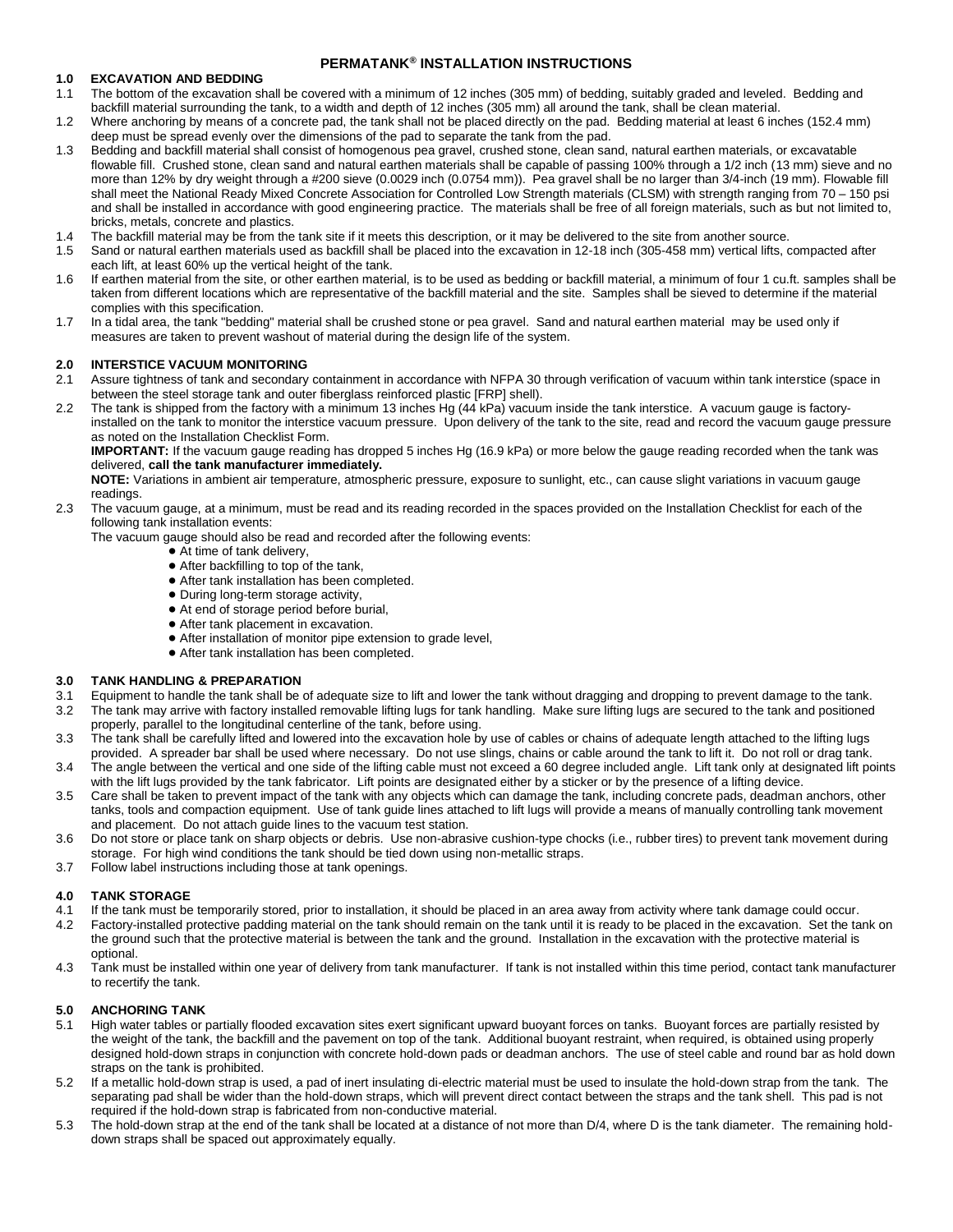# **PERMATANK® INSTALLATION INSTRUCTIONS**

# **1.0 EXCAVATION AND BEDDING**

- 1.1 The bottom of the excavation shall be covered with a minimum of 12 inches (305 mm) of bedding, suitably graded and leveled. Bedding and backfill material surrounding the tank, to a width and depth of 12 inches (305 mm) all around the tank, shall be clean material.
- 1.2 Where anchoring by means of a concrete pad, the tank shall not be placed directly on the pad. Bedding material at least 6 inches (152.4 mm) deep must be spread evenly over the dimensions of the pad to separate the tank from the pad.
- 1.3 Bedding and backfill material shall consist of homogenous pea gravel, crushed stone, clean sand, natural earthen materials, or excavatable flowable fill. Crushed stone, clean sand and natural earthen materials shall be capable of passing 100% through a 1/2 inch (13 mm) sieve and no more than 12% by dry weight through a #200 sieve (0.0029 inch (0.0754 mm)). Pea gravel shall be no larger than 3/4-inch (19 mm). Flowable fill shall meet the National Ready Mixed Concrete Association for Controlled Low Strength materials (CLSM) with strength ranging from 70 – 150 psi and shall be installed in accordance with good engineering practice. The materials shall be free of all foreign materials, such as but not limited to, bricks, metals, concrete and plastics.
- 1.4 The backfill material may be from the tank site if it meets this description, or it may be delivered to the site from another source.
- 1.5 Sand or natural earthen materials used as backfill shall be placed into the excavation in 12-18 inch (305-458 mm) vertical lifts, compacted after each lift, at least 60% up the vertical height of the tank.
- 1.6 If earthen material from the site, or other earthen material, is to be used as bedding or backfill material, a minimum of four 1 cu.ft. samples shall be taken from different locations which are representative of the backfill material and the site. Samples shall be sieved to determine if the material complies with this specification.
- 1.7 In a tidal area, the tank "bedding" material shall be crushed stone or pea gravel. Sand and natural earthen material may be used only if measures are taken to prevent washout of material during the design life of the system.

# **2.0 INTERSTICE VACUUM MONITORING**

- 2.1 Assure tightness of tank and secondary containment in accordance with NFPA 30 through verification of vacuum within tank interstice (space in between the steel storage tank and outer fiberglass reinforced plastic [FRP] shell).
- 2.2 The tank is shipped from the factory with a minimum 13 inches Hg (44 kPa) vacuum inside the tank interstice. A vacuum gauge is factoryinstalled on the tank to monitor the interstice vacuum pressure. Upon delivery of the tank to the site, read and record the vacuum gauge pressure as noted on the Installation Checklist Form.

**IMPORTANT:** If the vacuum gauge reading has dropped 5 inches Hg (16.9 kPa) or more below the gauge reading recorded when the tank was delivered, **call the tank manufacturer immediately.**

**NOTE:** Variations in ambient air temperature, atmospheric pressure, exposure to sunlight, etc., can cause slight variations in vacuum gauge readings.

2.3 The vacuum gauge, at a minimum, must be read and its reading recorded in the spaces provided on the Installation Checklist for each of the following tank installation events:

The vacuum gauge should also be read and recorded after the following events:

- $\bullet$  At time of tank delivery,
- ! After backfilling to top of the tank,
- ! After tank installation has been completed.
- During long-term storage activity,
- ! At end of storage period before burial,
- After tank placement in excavation.
- ! After installation of monitor pipe extension to grade level,
- ! After tank installation has been completed.

# **3.0 TANK HANDLING & PREPARATION**

- 3.1 Equipment to handle the tank shall be of adequate size to lift and lower the tank without dragging and dropping to prevent damage to the tank.
- 3.2 The tank may arrive with factory installed removable lifting lugs for tank handling. Make sure lifting lugs are secured to the tank and positioned properly, parallel to the longitudinal centerline of the tank, before using.
- 3.3 The tank shall be carefully lifted and lowered into the excavation hole by use of cables or chains of adequate length attached to the lifting lugs provided. A spreader bar shall be used where necessary. Do not use slings, chains or cable around the tank to lift it. Do not roll or drag tank.
- 3.4 The angle between the vertical and one side of the lifting cable must not exceed a 60 degree included angle. Lift tank only at designated lift points with the lift lugs provided by the tank fabricator. Lift points are designated either by a sticker or by the presence of a lifting device.
- 3.5 Care shall be taken to prevent impact of the tank with any objects which can damage the tank, including concrete pads, deadman anchors, other tanks, tools and compaction equipment. Use of tank guide lines attached to lift lugs will provide a means of manually controlling tank movement and placement. Do not attach guide lines to the vacuum test station.
- 3.6 Do not store or place tank on sharp objects or debris. Use non-abrasive cushion-type chocks (i.e., rubber tires) to prevent tank movement during storage. For high wind conditions the tank should be tied down using non-metallic straps.
- 3.7 Follow label instructions including those at tank openings.

## **4.0 TANK STORAGE**

- 4.1 If the tank must be temporarily stored, prior to installation, it should be placed in an area away from activity where tank damage could occur.
- 4.2 Factory-installed protective padding material on the tank should remain on the tank until it is ready to be placed in the excavation. Set the tank on the ground such that the protective material is between the tank and the ground. Installation in the excavation with the protective material is optional.
- 4.3 Tank must be installed within one year of delivery from tank manufacturer. If tank is not installed within this time period, contact tank manufacturer to recertify the tank.

## **5.0 ANCHORING TANK**

- 5.1 High water tables or partially flooded excavation sites exert significant upward buoyant forces on tanks. Buoyant forces are partially resisted by the weight of the tank, the backfill and the pavement on top of the tank. Additional buoyant restraint, when required, is obtained using properly designed hold-down straps in conjunction with concrete hold-down pads or deadman anchors. The use of steel cable and round bar as hold down straps on the tank is prohibited.
- 5.2 If a metallic hold-down strap is used, a pad of inert insulating di-electric material must be used to insulate the hold-down strap from the tank. The separating pad shall be wider than the hold-down straps, which will prevent direct contact between the straps and the tank shell. This pad is not required if the hold-down strap is fabricated from non-conductive material.
- 5.3 The hold-down strap at the end of the tank shall be located at a distance of not more than D/4, where D is the tank diameter. The remaining holddown straps shall be spaced out approximately equally.